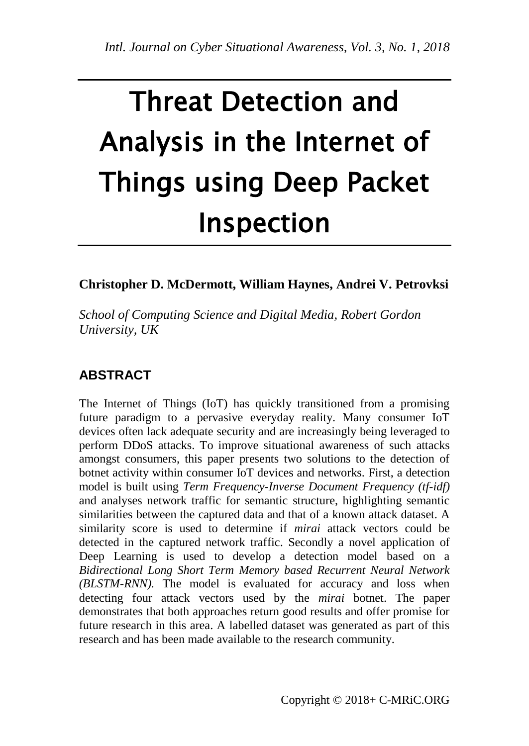# Threat Detection and Analysis in the Internet of Things using Deep Packet Inspection

## **Christopher D. McDermott, William Haynes, Andrei V. Petrovksi**

*School of Computing Science and Digital Media, Robert Gordon University, UK*

# **ABSTRACT**

The Internet of Things (IoT) has quickly transitioned from a promising future paradigm to a pervasive everyday reality. Many consumer IoT devices often lack adequate security and are increasingly being leveraged to perform DDoS attacks. To improve situational awareness of such attacks amongst consumers, this paper presents two solutions to the detection of botnet activity within consumer IoT devices and networks. First, a detection model is built using *Term Frequency-Inverse Document Frequency (tf-idf)* and analyses network traffic for semantic structure, highlighting semantic similarities between the captured data and that of a known attack dataset. A similarity score is used to determine if *mirai* attack vectors could be detected in the captured network traffic. Secondly a novel application of Deep Learning is used to develop a detection model based on a *Bidirectional Long Short Term Memory based Recurrent Neural Network (BLSTM-RNN).* The model is evaluated for accuracy and loss when detecting four attack vectors used by the *mirai* botnet. The paper demonstrates that both approaches return good results and offer promise for future research in this area. A labelled dataset was generated as part of this research and has been made available to the research community.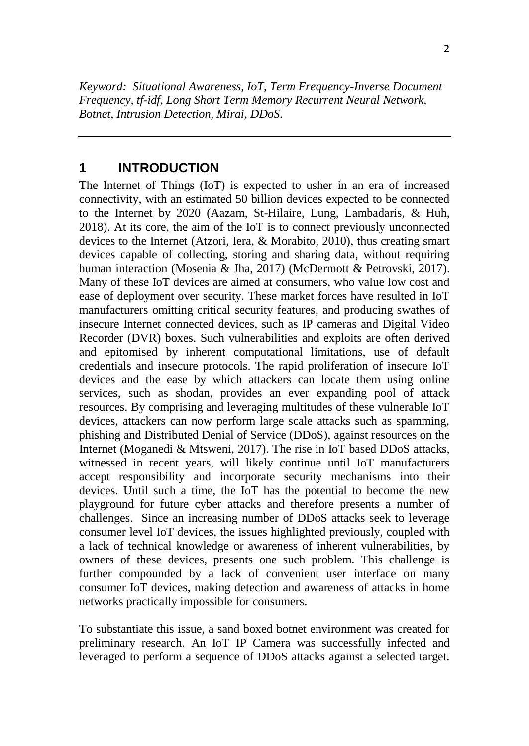*Keyword: Situational Awareness, IoT, Term Frequency-Inverse Document Frequency, tf-idf, Long Short Term Memory Recurrent Neural Network, Botnet, Intrusion Detection, Mirai, DDoS.* 

#### **1 INTRODUCTION**

The Internet of Things (IoT) is expected to usher in an era of increased connectivity, with an estimated 50 billion devices expected to be connected to the Internet by 2020 (Aazam, St-Hilaire, Lung, Lambadaris, & Huh, 2018). At its core, the aim of the IoT is to connect previously unconnected devices to the Internet (Atzori, Iera, & Morabito, 2010), thus creating smart devices capable of collecting, storing and sharing data, without requiring human interaction (Mosenia & Jha, 2017) (McDermott & Petrovski, 2017). Many of these IoT devices are aimed at consumers, who value low cost and ease of deployment over security. These market forces have resulted in IoT manufacturers omitting critical security features, and producing swathes of insecure Internet connected devices, such as IP cameras and Digital Video Recorder (DVR) boxes. Such vulnerabilities and exploits are often derived and epitomised by inherent computational limitations, use of default credentials and insecure protocols. The rapid proliferation of insecure IoT devices and the ease by which attackers can locate them using online services, such as shodan, provides an ever expanding pool of attack resources. By comprising and leveraging multitudes of these vulnerable IoT devices, attackers can now perform large scale attacks such as spamming, phishing and Distributed Denial of Service (DDoS), against resources on the Internet (Moganedi & Mtsweni, 2017). The rise in IoT based DDoS attacks, witnessed in recent years, will likely continue until IoT manufacturers accept responsibility and incorporate security mechanisms into their devices. Until such a time, the IoT has the potential to become the new playground for future cyber attacks and therefore presents a number of challenges. Since an increasing number of DDoS attacks seek to leverage consumer level IoT devices, the issues highlighted previously, coupled with a lack of technical knowledge or awareness of inherent vulnerabilities, by owners of these devices, presents one such problem. This challenge is further compounded by a lack of convenient user interface on many consumer IoT devices, making detection and awareness of attacks in home networks practically impossible for consumers.

To substantiate this issue, a sand boxed botnet environment was created for preliminary research. An IoT IP Camera was successfully infected and leveraged to perform a sequence of DDoS attacks against a selected target.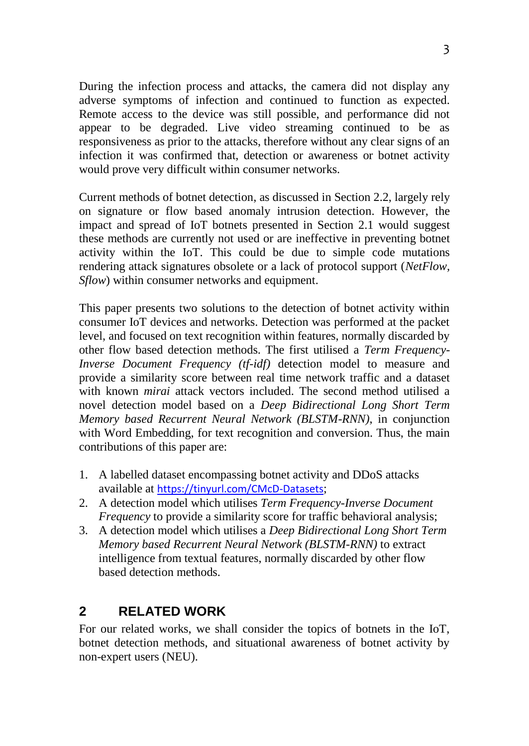During the infection process and attacks, the camera did not display any adverse symptoms of infection and continued to function as expected. Remote access to the device was still possible, and performance did not appear to be degraded. Live video streaming continued to be as responsiveness as prior to the attacks, therefore without any clear signs of an infection it was confirmed that, detection or awareness or botnet activity would prove very difficult within consumer networks.

Current methods of botnet detection, as discussed in Section 2.2, largely rely on signature or flow based anomaly intrusion detection. However, the impact and spread of IoT botnets presented in Section 2.1 would suggest these methods are currently not used or are ineffective in preventing botnet activity within the IoT. This could be due to simple code mutations rendering attack signatures obsolete or a lack of protocol support (*NetFlow, Sflow*) within consumer networks and equipment.

This paper presents two solutions to the detection of botnet activity within consumer IoT devices and networks. Detection was performed at the packet level, and focused on text recognition within features, normally discarded by other flow based detection methods. The first utilised a *Term Frequency-Inverse Document Frequency (tf-idf)* detection model to measure and provide a similarity score between real time network traffic and a dataset with known *mirai* attack vectors included. The second method utilised a novel detection model based on a *Deep Bidirectional Long Short Term Memory based Recurrent Neural Network (BLSTM-RNN)*, in conjunction with Word Embedding, for text recognition and conversion. Thus, the main contributions of this paper are:

- 1. A labelled dataset encompassing botnet activity and DDoS attacks available at <https://tinyurl.com/CMcD-Datasets>;
- 2. A detection model which utilises *Term Frequency-Inverse Document Frequency* to provide a similarity score for traffic behavioral analysis;
- 3. A detection model which utilises a *Deep Bidirectional Long Short Term Memory based Recurrent Neural Network (BLSTM-RNN)* to extract intelligence from textual features, normally discarded by other flow based detection methods.

## **2 RELATED WORK**

For our related works, we shall consider the topics of botnets in the IoT, botnet detection methods, and situational awareness of botnet activity by non-expert users (NEU).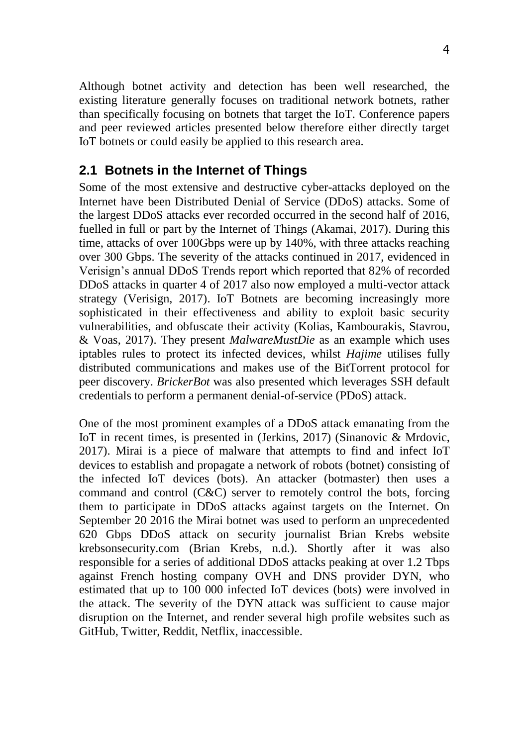Although botnet activity and detection has been well researched, the existing literature generally focuses on traditional network botnets, rather than specifically focusing on botnets that target the IoT. Conference papers and peer reviewed articles presented below therefore either directly target IoT botnets or could easily be applied to this research area.

#### **2.1 Botnets in the Internet of Things**

Some of the most extensive and destructive cyber-attacks deployed on the Internet have been Distributed Denial of Service (DDoS) attacks. Some of the largest DDoS attacks ever recorded occurred in the second half of 2016, fuelled in full or part by the Internet of Things (Akamai, 2017). During this time, attacks of over 100Gbps were up by 140%, with three attacks reaching over 300 Gbps. The severity of the attacks continued in 2017, evidenced in Verisign's annual DDoS Trends report which reported that 82% of recorded DDoS attacks in quarter 4 of 2017 also now employed a multi-vector attack strategy (Verisign, 2017). IoT Botnets are becoming increasingly more sophisticated in their effectiveness and ability to exploit basic security vulnerabilities, and obfuscate their activity (Kolias, Kambourakis, Stavrou, & Voas, 2017). They present *MalwareMustDie* as an example which uses iptables rules to protect its infected devices, whilst *Hajime* utilises fully distributed communications and makes use of the BitTorrent protocol for peer discovery. *BrickerBot* was also presented which leverages SSH default credentials to perform a permanent denial-of-service (PDoS) attack.

One of the most prominent examples of a DDoS attack emanating from the IoT in recent times, is presented in (Jerkins, 2017) (Sinanovic & Mrdovic, 2017). Mirai is a piece of malware that attempts to find and infect IoT devices to establish and propagate a network of robots (botnet) consisting of the infected IoT devices (bots). An attacker (botmaster) then uses a command and control (C&C) server to remotely control the bots, forcing them to participate in DDoS attacks against targets on the Internet. On September 20 2016 the Mirai botnet was used to perform an unprecedented 620 Gbps DDoS attack on security journalist Brian Krebs website krebsonsecurity.com (Brian Krebs, n.d.). Shortly after it was also responsible for a series of additional DDoS attacks peaking at over 1.2 Tbps against French hosting company OVH and DNS provider DYN, who estimated that up to 100 000 infected IoT devices (bots) were involved in the attack. The severity of the DYN attack was sufficient to cause major disruption on the Internet, and render several high profile websites such as GitHub, Twitter, Reddit, Netflix, inaccessible.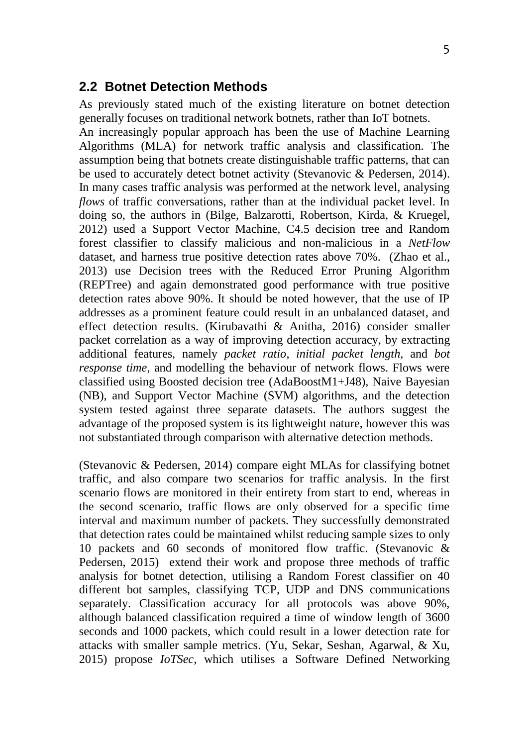#### **2.2 Botnet Detection Methods**

As previously stated much of the existing literature on botnet detection generally focuses on traditional network botnets, rather than IoT botnets.

An increasingly popular approach has been the use of Machine Learning Algorithms (MLA) for network traffic analysis and classification. The assumption being that botnets create distinguishable traffic patterns, that can be used to accurately detect botnet activity (Stevanovic & Pedersen, 2014). In many cases traffic analysis was performed at the network level, analysing *flows* of traffic conversations, rather than at the individual packet level. In doing so, the authors in (Bilge, Balzarotti, Robertson, Kirda, & Kruegel, 2012) used a Support Vector Machine, C4.5 decision tree and Random forest classifier to classify malicious and non-malicious in a *NetFlow* dataset, and harness true positive detection rates above 70%. (Zhao et al., 2013) use Decision trees with the Reduced Error Pruning Algorithm (REPTree) and again demonstrated good performance with true positive detection rates above 90%. It should be noted however, that the use of IP addresses as a prominent feature could result in an unbalanced dataset, and effect detection results. (Kirubavathi & Anitha, 2016) consider smaller packet correlation as a way of improving detection accuracy, by extracting additional features, namely *packet ratio*, *initial packet length*, and *bot response time*, and modelling the behaviour of network flows. Flows were classified using Boosted decision tree (AdaBoostM1+J48), Naive Bayesian (NB), and Support Vector Machine (SVM) algorithms, and the detection system tested against three separate datasets. The authors suggest the advantage of the proposed system is its lightweight nature, however this was not substantiated through comparison with alternative detection methods.

(Stevanovic & Pedersen, 2014) compare eight MLAs for classifying botnet traffic, and also compare two scenarios for traffic analysis. In the first scenario flows are monitored in their entirety from start to end, whereas in the second scenario, traffic flows are only observed for a specific time interval and maximum number of packets. They successfully demonstrated that detection rates could be maintained whilst reducing sample sizes to only 10 packets and 60 seconds of monitored flow traffic. (Stevanovic & Pedersen, 2015) extend their work and propose three methods of traffic analysis for botnet detection, utilising a Random Forest classifier on 40 different bot samples, classifying TCP, UDP and DNS communications separately. Classification accuracy for all protocols was above 90%, although balanced classification required a time of window length of 3600 seconds and 1000 packets, which could result in a lower detection rate for attacks with smaller sample metrics. (Yu, Sekar, Seshan, Agarwal, & Xu, 2015) propose *IoTSec*, which utilises a Software Defined Networking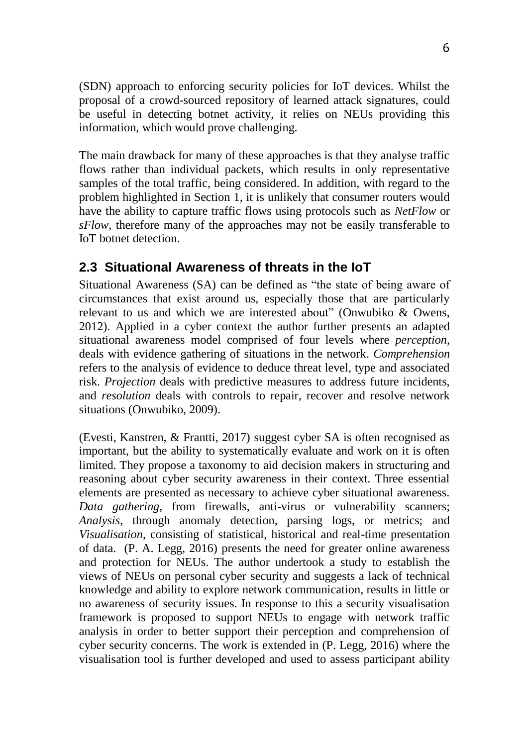(SDN) approach to enforcing security policies for IoT devices. Whilst the proposal of a crowd-sourced repository of learned attack signatures, could be useful in detecting botnet activity, it relies on NEUs providing this information, which would prove challenging.

The main drawback for many of these approaches is that they analyse traffic flows rather than individual packets, which results in only representative samples of the total traffic, being considered. In addition, with regard to the problem highlighted in Section 1, it is unlikely that consumer routers would have the ability to capture traffic flows using protocols such as *NetFlow* or *sFlow*, therefore many of the approaches may not be easily transferable to IoT botnet detection.

## **2.3 Situational Awareness of threats in the IoT**

Situational Awareness (SA) can be defined as "the state of being aware of circumstances that exist around us, especially those that are particularly relevant to us and which we are interested about" (Onwubiko & Owens, 2012). Applied in a cyber context the author further presents an adapted situational awareness model comprised of four levels where *perception*, deals with evidence gathering of situations in the network. *Comprehension* refers to the analysis of evidence to deduce threat level, type and associated risk. *Projection* deals with predictive measures to address future incidents, and *resolution* deals with controls to repair, recover and resolve network situations (Onwubiko, 2009).

(Evesti, Kanstren, & Frantti, 2017) suggest cyber SA is often recognised as important, but the ability to systematically evaluate and work on it is often limited. They propose a taxonomy to aid decision makers in structuring and reasoning about cyber security awareness in their context. Three essential elements are presented as necessary to achieve cyber situational awareness. *Data gathering*, from firewalls, anti-virus or vulnerability scanners; *Analysis*, through anomaly detection, parsing logs, or metrics; and *Visualisation*, consisting of statistical, historical and real-time presentation of data. (P. A. Legg, 2016) presents the need for greater online awareness and protection for NEUs. The author undertook a study to establish the views of NEUs on personal cyber security and suggests a lack of technical knowledge and ability to explore network communication, results in little or no awareness of security issues. In response to this a security visualisation framework is proposed to support NEUs to engage with network traffic analysis in order to better support their perception and comprehension of cyber security concerns. The work is extended in (P. Legg, 2016) where the visualisation tool is further developed and used to assess participant ability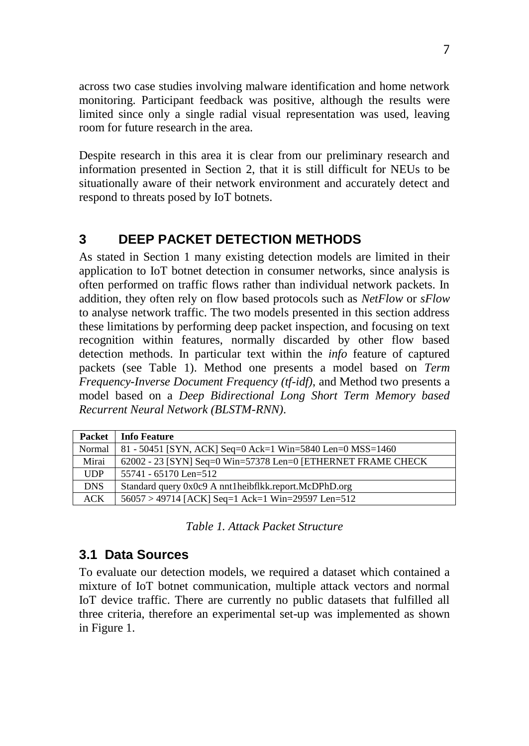across two case studies involving malware identification and home network monitoring. Participant feedback was positive, although the results were limited since only a single radial visual representation was used, leaving room for future research in the area.

Despite research in this area it is clear from our preliminary research and information presented in Section 2, that it is still difficult for NEUs to be situationally aware of their network environment and accurately detect and respond to threats posed by IoT botnets.

## **3 DEEP PACKET DETECTION METHODS**

As stated in Section 1 many existing detection models are limited in their application to IoT botnet detection in consumer networks, since analysis is often performed on traffic flows rather than individual network packets. In addition, they often rely on flow based protocols such as *NetFlow* or *sFlow* to analyse network traffic. The two models presented in this section address these limitations by performing deep packet inspection, and focusing on text recognition within features, normally discarded by other flow based detection methods. In particular text within the *info* feature of captured packets (see Table 1). Method one presents a model based on *Term Frequency-Inverse Document Frequency (tf-idf)*, and Method two presents a model based on a *Deep Bidirectional Long Short Term Memory based Recurrent Neural Network (BLSTM-RNN)*.

| <b>Packet</b> | <b>Info Feature</b>                                           |
|---------------|---------------------------------------------------------------|
| Normal        | 81 - 50451 [SYN, ACK] Seq=0 Ack=1 Win=5840 Len=0 MSS=1460     |
| Mirai         | 62002 - 23 [SYN] Seq=0 Win=57378 Len=0 [ETHERNET FRAME CHECK] |
| <b>UDP</b>    | $55741 - 65170$ Len=512                                       |
| <b>DNS</b>    | Standard query 0x0c9 A nnt1heibflkk.report.McDPhD.org         |
| ACK           | $56057 > 49714$ [ACK] Seq=1 Ack=1 Win=29597 Len=512           |

*Table 1. Attack Packet Structure*

## **3.1 Data Sources**

To evaluate our detection models, we required a dataset which contained a mixture of IoT botnet communication, multiple attack vectors and normal IoT device traffic. There are currently no public datasets that fulfilled all three criteria, therefore an experimental set-up was implemented as shown in Figure 1.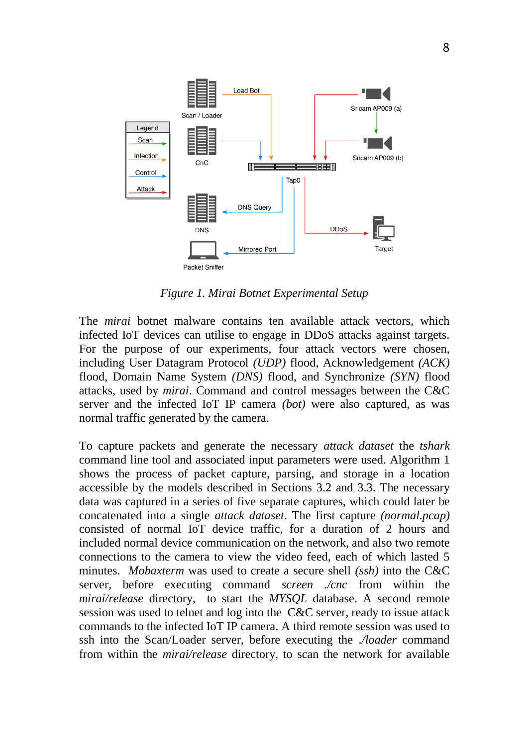

*Figure 1. Mirai Botnet Experimental Setup*

The *mirai* botnet malware contains ten available attack vectors, which infected IoT devices can utilise to engage in DDoS attacks against targets. For the purpose of our experiments, four attack vectors were chosen, including User Datagram Protocol *(UDP)* flood, Acknowledgement *(ACK)* flood, Domain Name System *(DNS)* flood, and Synchronize *(SYN)* flood attacks, used by *mirai*. Command and control messages between the C&C server and the infected IoT IP camera *(bot)* were also captured, as was normal traffic generated by the camera.

To capture packets and generate the necessary *attack dataset* the *tshark* command line tool and associated input parameters were used. Algorithm 1 shows the process of packet capture, parsing, and storage in a location accessible by the models described in Sections 3.2 and 3.3. The necessary data was captured in a series of five separate captures, which could later be concatenated into a single *attack dataset*. The first capture *(normal.pcap)* consisted of normal IoT device traffic, for a duration of 2 hours and included normal device communication on the network, and also two remote connections to the camera to view the video feed, each of which lasted 5 minutes. *Mobaxterm* was used to create a secure shell *(ssh)* into the C&C server, before executing command *screen ./cnc* from within the *mirai/release* directory, to start the *MYSQL* database. A second remote session was used to telnet and log into the C&C server, ready to issue attack commands to the infected IoT IP camera. A third remote session was used to ssh into the Scan/Loader server, before executing the *./loader* command from within the *mirai/release* directory, to scan the network for available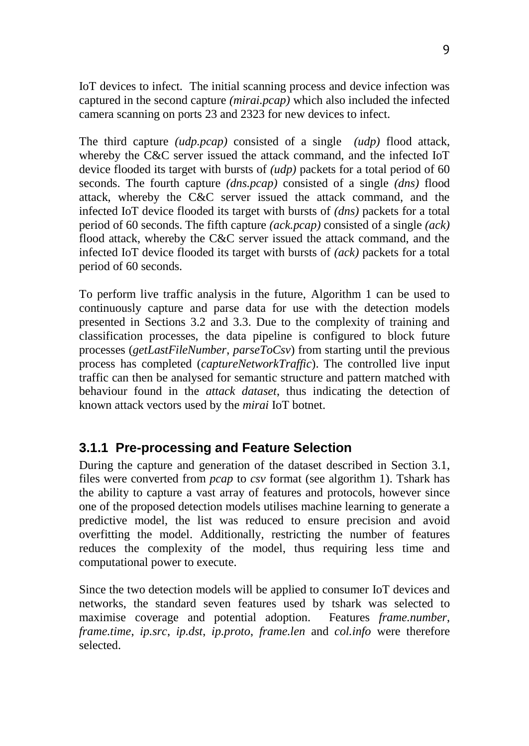IoT devices to infect. The initial scanning process and device infection was captured in the second capture *(mirai.pcap)* which also included the infected camera scanning on ports 23 and 2323 for new devices to infect.

The third capture *(udp.pcap)* consisted of a single *(udp)* flood attack, whereby the C&C server issued the attack command, and the infected IoT device flooded its target with bursts of *(udp)* packets for a total period of 60 seconds. The fourth capture *(dns.pcap)* consisted of a single *(dns)* flood attack, whereby the C&C server issued the attack command, and the infected IoT device flooded its target with bursts of *(dns)* packets for a total period of 60 seconds. The fifth capture *(ack.pcap)* consisted of a single *(ack)* flood attack, whereby the C&C server issued the attack command, and the infected IoT device flooded its target with bursts of *(ack)* packets for a total period of 60 seconds.

To perform live traffic analysis in the future, Algorithm 1 can be used to continuously capture and parse data for use with the detection models presented in Sections 3.2 and 3.3. Due to the complexity of training and classification processes, the data pipeline is configured to block future processes (*getLastFileNumber*, *parseToCsv*) from starting until the previous process has completed (*captureNetworkTraffic*). The controlled live input traffic can then be analysed for semantic structure and pattern matched with behaviour found in the *attack dataset*, thus indicating the detection of known attack vectors used by the *mirai* IoT botnet.

## **3.1.1 Pre-processing and Feature Selection**

During the capture and generation of the dataset described in Section 3.1, files were converted from *pcap* to *csv* format (see algorithm 1). Tshark has the ability to capture a vast array of features and protocols, however since one of the proposed detection models utilises machine learning to generate a predictive model, the list was reduced to ensure precision and avoid overfitting the model. Additionally, restricting the number of features reduces the complexity of the model, thus requiring less time and computational power to execute.

Since the two detection models will be applied to consumer IoT devices and networks, the standard seven features used by tshark was selected to maximise coverage and potential adoption. Features *frame.number*, *frame.time*, *ip.src*, *ip.dst*, *ip.proto*, *frame.len* and *col.info* were therefore selected.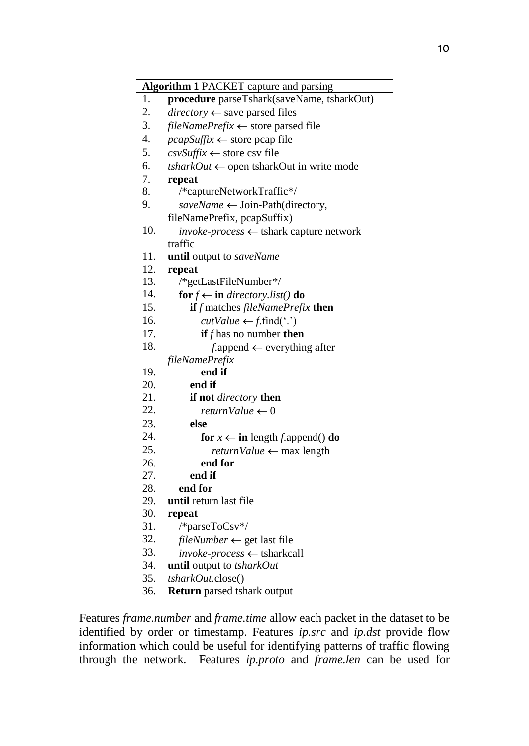|                  | Algorithm 1 PACKET capture and parsing              |
|------------------|-----------------------------------------------------|
| 1.               | procedure parseTshark(saveName, tsharkOut)          |
| 2.               | $directory \leftarrow$ save parsed files            |
| 3.               | fileNamePrefix $\leftarrow$ store parsed file       |
| $\overline{4}$ . | $pcapSuffix \leftarrow store pcap file$             |
| 5.               | $\cos\theta$ store csv file                         |
| 6.               | $tsharkOut \leftarrow$ open tsharkOut in write mode |
| 7.               | repeat                                              |
| 8.               | /*captureNetworkTraffic*/                           |
| 9.               | saveName ← Join-Path(directory,                     |
|                  | fileNamePrefix, pcapSuffix)                         |
| 10.              | <i>invoke-process</i> ← tshark capture network      |
|                  | traffic                                             |
| 11.              | until output to saveName                            |
| 12.              | repeat                                              |
| 13.              | /*getLastFileNumber*/                               |
| 14.              | for $f \leftarrow$ in directory.list() do           |
| 15.              | if f matches fileNamePrefix then                    |
| 16.              | $cutValue \leftarrow f.find(\cdot \cdot)$           |
| 17.              | if $f$ has no number then                           |
| 18.              | $f$ .append $\leftarrow$ everything after           |
|                  | fileNamePrefix                                      |
| 19.              | end if                                              |
| 20.              | end if                                              |
| 21.              | if not directory then                               |
| 22.              | returnValue $\leftarrow 0$                          |
| 23.              | else                                                |
| 24.              | for $x \leftarrow$ in length f.append() do          |
| 25.              | returnValue $\leftarrow$ max length                 |
| 26.              | end for                                             |
| 27.              | end if                                              |
| 28.              | end for                                             |
| 29.              | until return last file                              |
| 30.              | repeat                                              |
| 31.              | /*parseToCsv*/                                      |
| 32.              | $fileNumber \leftarrow get$ last file               |
| 33.              | $invoke-process \leftarrow \text{tsharkcall}$       |
| 34.              | until output to tsharkOut                           |
| 35.              | <i>tsharkOut.close()</i>                            |

36. **Return** parsed tshark output

Features *frame.number* and *frame.time* allow each packet in the dataset to be identified by order or timestamp. Features *ip.src* and *ip.dst* provide flow information which could be useful for identifying patterns of traffic flowing through the network. Features *ip.proto* and *frame.len* can be used for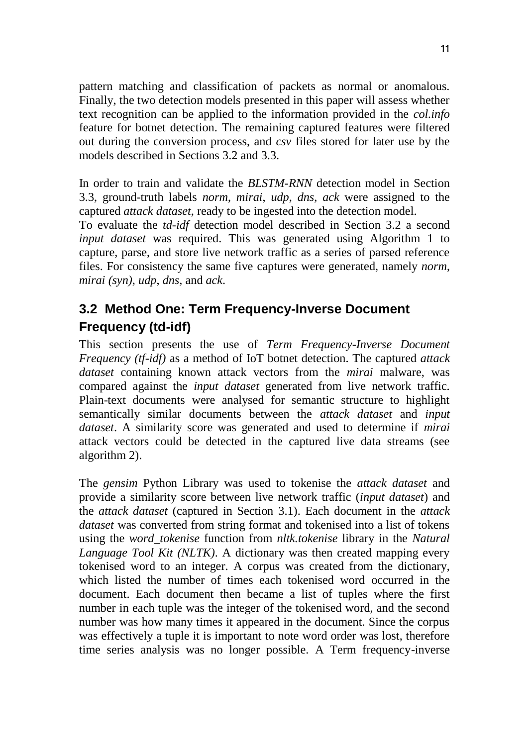pattern matching and classification of packets as normal or anomalous. Finally, the two detection models presented in this paper will assess whether text recognition can be applied to the information provided in the *col.info* feature for botnet detection. The remaining captured features were filtered out during the conversion process, and *csv* files stored for later use by the models described in Sections 3.2 and 3.3.

In order to train and validate the *BLSTM-RNN* detection model in Section 3.3, ground-truth labels *norm*, *mirai*, *udp*, *dns*, *ack* were assigned to the captured *attack dataset*, ready to be ingested into the detection model.

To evaluate the *td-idf* detection model described in Section 3.2 a second *input dataset* was required. This was generated using Algorithm 1 to capture, parse, and store live network traffic as a series of parsed reference files. For consistency the same five captures were generated, namely *norm*, *mirai (syn)*, *udp*, *dns,* and *ack*.

# **3.2 Method One: Term Frequency-Inverse Document Frequency (td-idf)**

This section presents the use of *Term Frequency-Inverse Document Frequency (tf-idf)* as a method of IoT botnet detection. The captured *attack dataset* containing known attack vectors from the *mirai* malware, was compared against the *input dataset* generated from live network traffic. Plain-text documents were analysed for semantic structure to highlight semantically similar documents between the *attack dataset* and *input dataset*. A similarity score was generated and used to determine if *mirai* attack vectors could be detected in the captured live data streams (see algorithm 2).

The *gensim* Python Library was used to tokenise the *attack dataset* and provide a similarity score between live network traffic (*input dataset*) and the *attack dataset* (captured in Section 3.1). Each document in the *attack dataset* was converted from string format and tokenised into a list of tokens using the *word\_tokenise* function from *nltk.tokenise* library in the *Natural Language Tool Kit (NLTK)*. A dictionary was then created mapping every tokenised word to an integer. A corpus was created from the dictionary, which listed the number of times each tokenised word occurred in the document. Each document then became a list of tuples where the first number in each tuple was the integer of the tokenised word, and the second number was how many times it appeared in the document. Since the corpus was effectively a tuple it is important to note word order was lost, therefore time series analysis was no longer possible. A Term frequency-inverse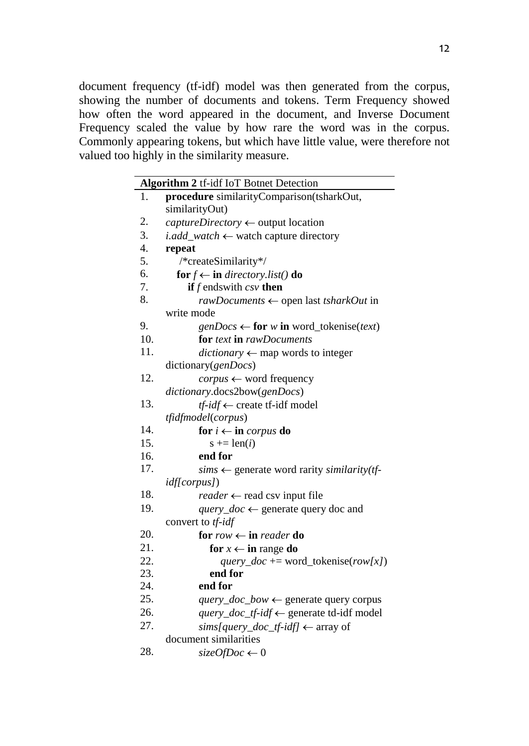document frequency (tf-idf) model was then generated from the corpus, showing the number of documents and tokens. Term Frequency showed how often the word appeared in the document, and Inverse Document Frequency scaled the value by how rare the word was in the corpus. Commonly appearing tokens, but which have little value, were therefore not valued too highly in the similarity measure.

|                  | Algorithm 2 tf-idf IoT Botnet Detection                 |
|------------------|---------------------------------------------------------|
| 1.               | procedure similarityComparison(tsharkOut,               |
|                  | similarityOut)                                          |
| 2.               | $capture Directory \leftarrow output location$          |
| 3.               | <i>i.add_watch</i> $\leftarrow$ watch capture directory |
| $\overline{4}$ . | repeat                                                  |
| 5.               | /*createSimilarity*/                                    |
| 6.               | for $f \leftarrow$ in directory.list() do               |
| 7.               | if $f$ ends with $csv$ then                             |
| 8.               | rawDocuments ← open last tsharkOut in                   |
|                  | write mode                                              |
| 9.               | $genDocs \leftarrow for w in word\_tokenise(text)$      |
| 10.              | <b>for</b> text <b>in</b> rawDocuments                  |
| 11.              | $dictionary \leftarrow map$ words to integer            |
|                  | dictionary(genDocs)                                     |
| 12.              | $corpus \leftarrow word frequency$                      |
|                  | dictionary.docs2bow(genDocs)                            |
| 13.              | $tf$ -idf $\leftarrow$ create tf-idf model              |
|                  | <i>tfidfmodel(corpus)</i>                               |
| 14.              | for $i \leftarrow$ in <i>corpus</i> do                  |
| 15.              | $s \leftarrow len(i)$                                   |
| 16.              | end for                                                 |
| 17.              | $sims \leftarrow$ generate word rarity similarity(tf-   |
|                  | <i>idf[corpus]</i> )                                    |
| 18.              | $reader \leftarrow read \, \text{csv}$ input file       |
| 19.              | <i>query_doc</i> $\leftarrow$ generate query doc and    |
|                  | convert to tf-idf                                       |
| 20.              | for $row \leftarrow$ in reader do                       |
| 21.              | for $x \leftarrow$ in range do                          |
| 22.              | query_doc += word_tokenise(row[x])                      |
| 23.              | end for                                                 |
| 24.              | end for                                                 |
| 25.              | <i>query_doc_bow</i> $\leftarrow$ generate query corpus |
| 26.              | query_doc_tf-idf ← generate td-idf model                |
| 27.              | sims[query_doc_tf-idf] $\leftarrow$ array of            |
|                  | document similarities                                   |
| 28.              | $\text{sizeOfDoc} \leftarrow 0$                         |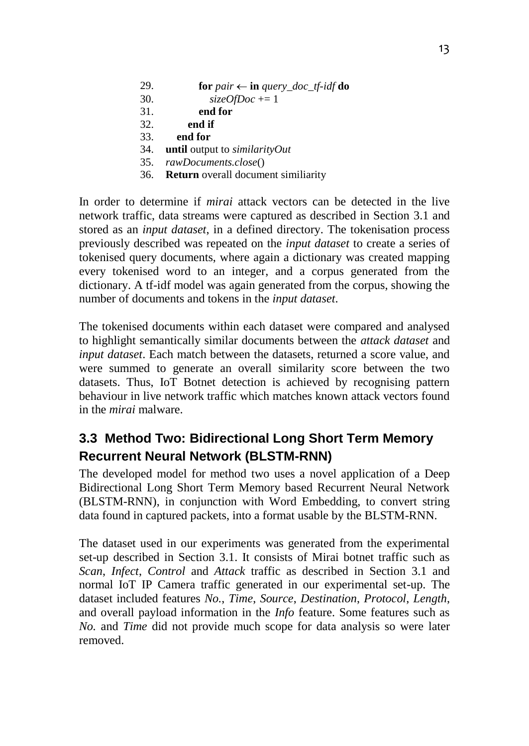| 29.    | for pair $\leftarrow$ in query_doc_tf-idf do          |
|--------|-------------------------------------------------------|
| $\sim$ | $\bigcap_{i=1}^n$ $\bigcap_{i=1}^n$ $\bigcap_{i=1}^n$ |

- 30. *sizeOfDoc* += 1
- 31. **end for**
- 32. **end if**
- 33. **end for**
- 34. **until** output to *similarityOut*
- 35. *rawDocuments.close*()
- 36. **Return** overall document similiarity

In order to determine if *mirai* attack vectors can be detected in the live network traffic, data streams were captured as described in Section 3.1 and stored as an *input dataset*, in a defined directory. The tokenisation process previously described was repeated on the *input dataset* to create a series of tokenised query documents, where again a dictionary was created mapping every tokenised word to an integer, and a corpus generated from the dictionary. A tf-idf model was again generated from the corpus, showing the number of documents and tokens in the *input dataset*.

The tokenised documents within each dataset were compared and analysed to highlight semantically similar documents between the *attack dataset* and *input dataset*. Each match between the datasets, returned a score value, and were summed to generate an overall similarity score between the two datasets. Thus, IoT Botnet detection is achieved by recognising pattern behaviour in live network traffic which matches known attack vectors found in the *mirai* malware.

# **3.3 Method Two: Bidirectional Long Short Term Memory Recurrent Neural Network (BLSTM-RNN)**

The developed model for method two uses a novel application of a Deep Bidirectional Long Short Term Memory based Recurrent Neural Network (BLSTM-RNN), in conjunction with Word Embedding, to convert string data found in captured packets, into a format usable by the BLSTM-RNN.

The dataset used in our experiments was generated from the experimental set-up described in Section 3.1. It consists of Mirai botnet traffic such as *Scan*, *Infect*, *Control* and *Attack* traffic as described in Section 3.1 and normal IoT IP Camera traffic generated in our experimental set-up. The dataset included features *No.*, *Time*, *Source*, *Destination*, *Protocol*, *Length*, and overall payload information in the *Info* feature. Some features such as *No.* and *Time* did not provide much scope for data analysis so were later removed.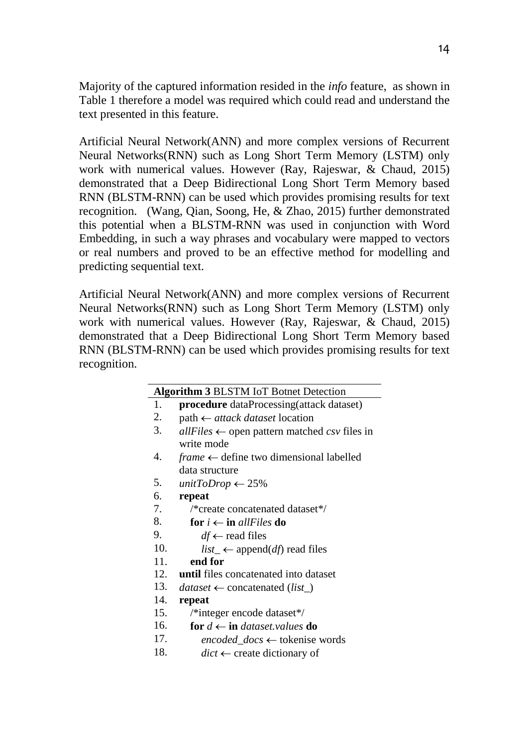Majority of the captured information resided in the *info* feature, as shown in Table 1 therefore a model was required which could read and understand the text presented in this feature.

Artificial Neural Network(ANN) and more complex versions of Recurrent Neural Networks(RNN) such as Long Short Term Memory (LSTM) only work with numerical values. However (Ray, Rajeswar, & Chaud, 2015) demonstrated that a Deep Bidirectional Long Short Term Memory based RNN (BLSTM-RNN) can be used which provides promising results for text recognition. (Wang, Qian, Soong, He, & Zhao, 2015) further demonstrated this potential when a BLSTM-RNN was used in conjunction with Word Embedding, in such a way phrases and vocabulary were mapped to vectors or real numbers and proved to be an effective method for modelling and predicting sequential text.

Artificial Neural Network(ANN) and more complex versions of Recurrent Neural Networks(RNN) such as Long Short Term Memory (LSTM) only work with numerical values. However (Ray, Rajeswar, & Chaud, 2015) demonstrated that a Deep Bidirectional Long Short Term Memory based RNN (BLSTM-RNN) can be used which provides promising results for text recognition.

| 1.<br><b>procedure</b> dataProcessing(attack dataset)<br>2.<br>$path \leftarrow$ attack dataset location<br>3.<br>$allFiles \leftarrow$ open pattern matched csv files in<br>write mode<br>4.<br>$frame \leftarrow define two dimensional labelled$<br>data structure<br>5.<br>unitToDrop $\leftarrow$ 25%<br>6.<br>repeat<br>7.<br>/*create concatenated dataset*/<br>8.<br>for $i \leftarrow$ in allFiles do<br>9.<br>$df \leftarrow$ read files<br>10.<br><i>list_</i> $\leftarrow$ append( <i>df</i> ) read files<br>11.<br>end for |
|-----------------------------------------------------------------------------------------------------------------------------------------------------------------------------------------------------------------------------------------------------------------------------------------------------------------------------------------------------------------------------------------------------------------------------------------------------------------------------------------------------------------------------------------|
|                                                                                                                                                                                                                                                                                                                                                                                                                                                                                                                                         |
|                                                                                                                                                                                                                                                                                                                                                                                                                                                                                                                                         |
|                                                                                                                                                                                                                                                                                                                                                                                                                                                                                                                                         |
|                                                                                                                                                                                                                                                                                                                                                                                                                                                                                                                                         |
|                                                                                                                                                                                                                                                                                                                                                                                                                                                                                                                                         |
|                                                                                                                                                                                                                                                                                                                                                                                                                                                                                                                                         |
|                                                                                                                                                                                                                                                                                                                                                                                                                                                                                                                                         |
|                                                                                                                                                                                                                                                                                                                                                                                                                                                                                                                                         |
|                                                                                                                                                                                                                                                                                                                                                                                                                                                                                                                                         |
|                                                                                                                                                                                                                                                                                                                                                                                                                                                                                                                                         |
|                                                                                                                                                                                                                                                                                                                                                                                                                                                                                                                                         |
|                                                                                                                                                                                                                                                                                                                                                                                                                                                                                                                                         |
|                                                                                                                                                                                                                                                                                                                                                                                                                                                                                                                                         |
| 12.<br>until files concatenated into dataset                                                                                                                                                                                                                                                                                                                                                                                                                                                                                            |
| 13.<br>$dataset \leftarrow \text{concatenated}(list$                                                                                                                                                                                                                                                                                                                                                                                                                                                                                    |
| 14.<br>repeat                                                                                                                                                                                                                                                                                                                                                                                                                                                                                                                           |
| 15.<br>/*integer encode dataset*/                                                                                                                                                                                                                                                                                                                                                                                                                                                                                                       |
| 16.<br>for $d \leftarrow$ in dataset. values do                                                                                                                                                                                                                                                                                                                                                                                                                                                                                         |
| 17.<br><i>encoded docs</i> $\leftarrow$ tokenise words                                                                                                                                                                                                                                                                                                                                                                                                                                                                                  |
| 18.<br>$dict \leftarrow$ create dictionary of                                                                                                                                                                                                                                                                                                                                                                                                                                                                                           |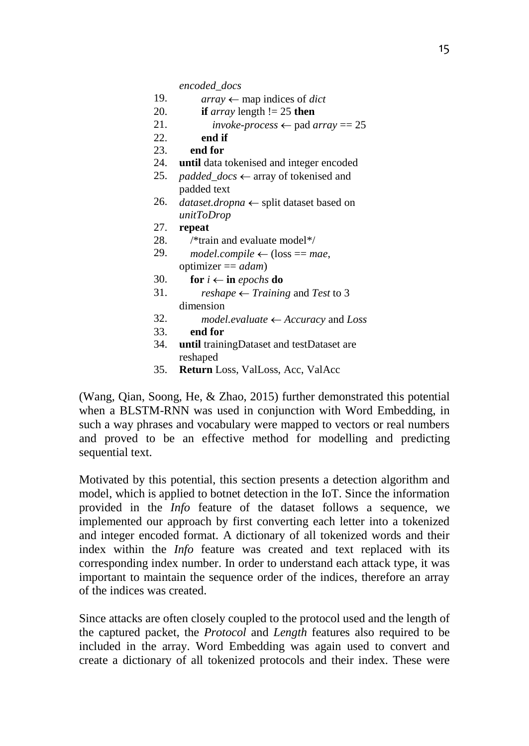*encoded\_docs*

- 19.  $array \leftarrow$  map indices of *dict*
- 20. **if** *array* length != 25 **then**
- 21. *invoke-process*  $\leftarrow$  pad *array* = 25
- 22. **end if**
- 23. **end for**
- 24. **until** data tokenised and integer encoded
- 25. *padded docs*  $\leftarrow$  array of tokenised and padded text
- 26. *dataset.dropna*  $\leftarrow$  split dataset based on *unitToDrop*
- 27. **repeat**
- 28. /\*train and evaluate model\*/
- 29. *model.compile*  $\leftarrow$  (loss == *mae*, optimizer == *adam*)
- 30. **for**  $i \leftarrow$  **in** *epochs* **do**
- 31. *reshape*  $\leftarrow$  *Training* and *Test* to 3 dimension
- 32. *model.evaluate Accuracy* and *Loss*
- 33. **end for**
- 34. **until** trainingDataset and testDataset are reshaped
- 35. **Return** Loss, ValLoss, Acc, ValAcc

(Wang, Qian, Soong, He, & Zhao, 2015) further demonstrated this potential when a BLSTM-RNN was used in conjunction with Word Embedding, in such a way phrases and vocabulary were mapped to vectors or real numbers and proved to be an effective method for modelling and predicting sequential text.

Motivated by this potential, this section presents a detection algorithm and model, which is applied to botnet detection in the IoT. Since the information provided in the *Info* feature of the dataset follows a sequence, we implemented our approach by first converting each letter into a tokenized and integer encoded format. A dictionary of all tokenized words and their index within the *Info* feature was created and text replaced with its corresponding index number. In order to understand each attack type, it was important to maintain the sequence order of the indices, therefore an array of the indices was created.

Since attacks are often closely coupled to the protocol used and the length of the captured packet, the *Protocol* and *Length* features also required to be included in the array. Word Embedding was again used to convert and create a dictionary of all tokenized protocols and their index. These were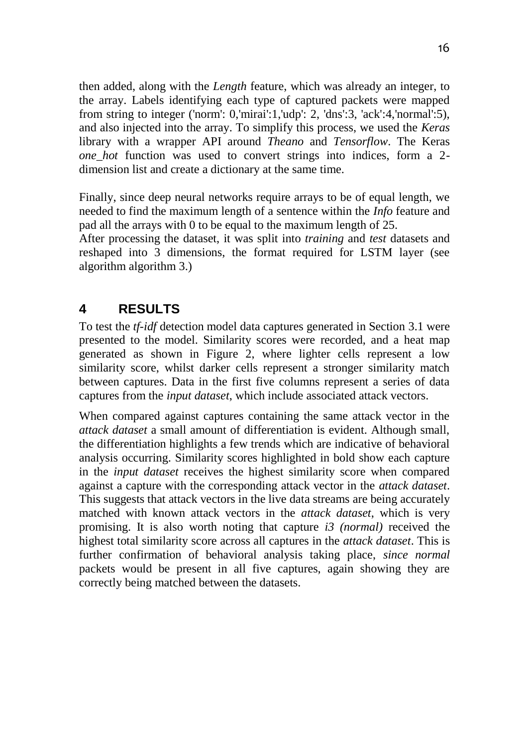then added, along with the *Length* feature, which was already an integer, to the array. Labels identifying each type of captured packets were mapped from string to integer ('norm': 0,'mirai':1,'udp': 2, 'dns':3, 'ack':4,'normal':5), and also injected into the array. To simplify this process, we used the *Keras* library with a wrapper API around *Theano* and *Tensorflow*. The Keras *one\_hot* function was used to convert strings into indices, form a 2 dimension list and create a dictionary at the same time.

Finally, since deep neural networks require arrays to be of equal length, we needed to find the maximum length of a sentence within the *Info* feature and pad all the arrays with 0 to be equal to the maximum length of 25.

After processing the dataset, it was split into *training* and *test* datasets and reshaped into 3 dimensions, the format required for LSTM layer (see algorithm algorithm 3.)

## **4 RESULTS**

To test the *tf-idf* detection model data captures generated in Section 3.1 were presented to the model. Similarity scores were recorded, and a heat map generated as shown in Figure 2, where lighter cells represent a low similarity score, whilst darker cells represent a stronger similarity match between captures. Data in the first five columns represent a series of data captures from the *input dataset*, which include associated attack vectors.

When compared against captures containing the same attack vector in the *attack dataset* a small amount of differentiation is evident. Although small, the differentiation highlights a few trends which are indicative of behavioral analysis occurring. Similarity scores highlighted in bold show each capture in the *input dataset* receives the highest similarity score when compared against a capture with the corresponding attack vector in the *attack dataset*. This suggests that attack vectors in the live data streams are being accurately matched with known attack vectors in the *attack dataset*, which is very promising. It is also worth noting that capture *i3 (normal)* received the highest total similarity score across all captures in the *attack dataset*. This is further confirmation of behavioral analysis taking place, *since normal* packets would be present in all five captures, again showing they are correctly being matched between the datasets.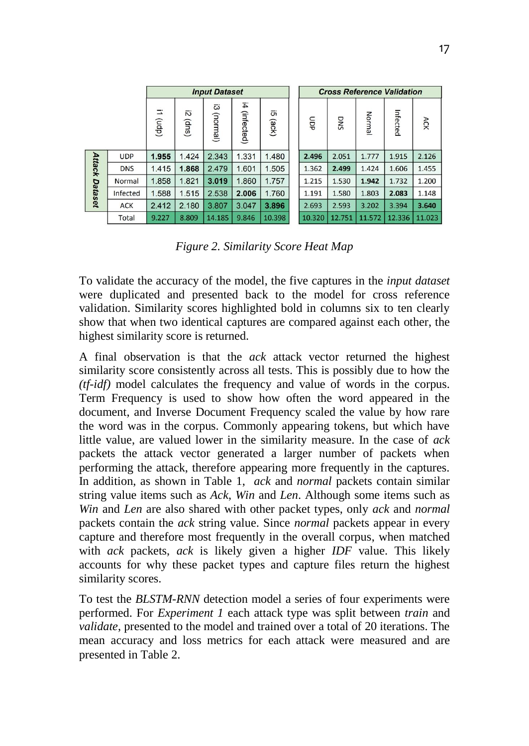|               |            | <b>Input Dataset</b> |            |                |                  |             | <b>Cross Reference Validation</b> |        |        |          |        |
|---------------|------------|----------------------|------------|----------------|------------------|-------------|-----------------------------------|--------|--------|----------|--------|
|               |            | Ξ<br>(dpn)           | Ñ<br>(qus) | تة<br>(lemnon) | Ħ.<br>(infected) | ōï<br>(ack) | gop                               | DNS    | Norma  | Infected | ACK    |
|               | <b>UDP</b> | 1.955                | 1.424      | 2.343          | 1.331            | 1.480       | 2.496                             | 2.051  | 1.777  | 1.915    | 2.126  |
| <b>Attack</b> | <b>DNS</b> | 1.415                | 1.868      | 2.479          | 1.601            | 1.505       | 1.362                             | 2.499  | 1.424  | 1.606    | 1.455  |
|               | Normal     | 1.858                | 1.821      | 3.019          | 1.860            | 1.757       | 1.215                             | 1.530  | 1.942  | 1.732    | 1.200  |
| Dataset       | Infected   | 1.588                | 1.515      | 2.538          | 2.006            | 1.760       | 1.191                             | 1.580  | 1.803  | 2.083    | 1.148  |
|               | <b>ACK</b> | 2.412                | 2.180      | 3.807          | 3.047            | 3.896       | 2.693                             | 2.593  | 3.202  | 3.394    | 3.640  |
|               | Total      | 9.227                | 8.809      | 14.185         | 9.846            | 10.398      | 10.320                            | 12.751 | 11.572 | 12.336   | 11.023 |

*Figure 2. Similarity Score Heat Map*

To validate the accuracy of the model, the five captures in the *input dataset* were duplicated and presented back to the model for cross reference validation. Similarity scores highlighted bold in columns six to ten clearly show that when two identical captures are compared against each other, the highest similarity score is returned.

A final observation is that the *ack* attack vector returned the highest similarity score consistently across all tests. This is possibly due to how the *(tf-idf)* model calculates the frequency and value of words in the corpus. Term Frequency is used to show how often the word appeared in the document, and Inverse Document Frequency scaled the value by how rare the word was in the corpus. Commonly appearing tokens, but which have little value, are valued lower in the similarity measure. In the case of *ack* packets the attack vector generated a larger number of packets when performing the attack, therefore appearing more frequently in the captures. In addition, as shown in Table 1, *ack* and *normal* packets contain similar string value items such as *Ack*, *Win* and *Len*. Although some items such as *Win* and *Len* are also shared with other packet types, only *ack* and *normal* packets contain the *ack* string value. Since *normal* packets appear in every capture and therefore most frequently in the overall corpus, when matched with *ack* packets, *ack* is likely given a higher *IDF* value. This likely accounts for why these packet types and capture files return the highest similarity scores.

To test the *BLSTM-RNN* detection model a series of four experiments were performed. For *Experiment 1* each attack type was split between *train* and *validate*, presented to the model and trained over a total of 20 iterations. The mean accuracy and loss metrics for each attack were measured and are presented in Table 2.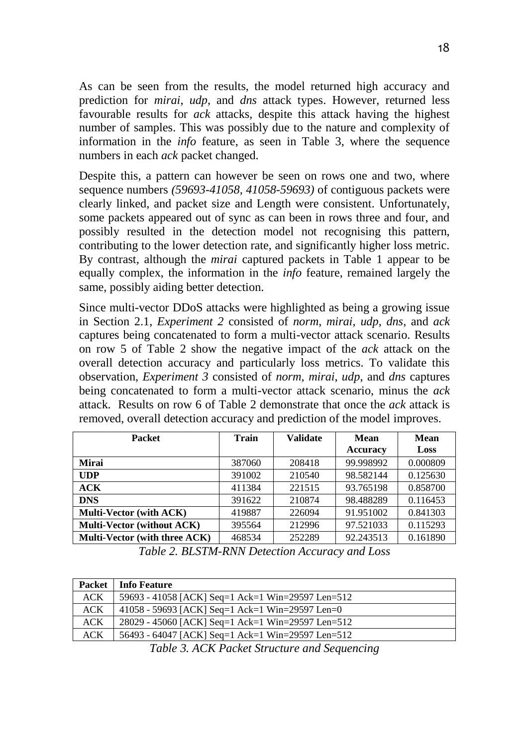As can be seen from the results, the model returned high accuracy and prediction for *mirai*, *udp*, and *dns* attack types. However, returned less favourable results for *ack* attacks, despite this attack having the highest number of samples. This was possibly due to the nature and complexity of information in the *info* feature, as seen in Table 3, where the sequence numbers in each *ack* packet changed.

Despite this, a pattern can however be seen on rows one and two, where sequence numbers *(59693-41058, 41058-59693)* of contiguous packets were clearly linked, and packet size and Length were consistent. Unfortunately, some packets appeared out of sync as can been in rows three and four, and possibly resulted in the detection model not recognising this pattern, contributing to the lower detection rate, and significantly higher loss metric. By contrast, although the *mirai* captured packets in Table 1 appear to be equally complex, the information in the *info* feature, remained largely the same, possibly aiding better detection.

Since multi-vector DDoS attacks were highlighted as being a growing issue in Section 2.1, *Experiment 2* consisted of *norm*, *mirai*, *udp*, *dns*, and *ack* captures being concatenated to form a multi-vector attack scenario. Results on row 5 of Table 2 show the negative impact of the *ack* attack on the overall detection accuracy and particularly loss metrics. To validate this observation, *Experiment 3* consisted of *norm*, *mirai*, *udp*, and *dns* captures being concatenated to form a multi-vector attack scenario, minus the *ack* attack. Results on row 6 of Table 2 demonstrate that once the *ack* attack is removed, overall detection accuracy and prediction of the model improves.

| <b>Packet</b>                     | <b>Train</b> | <b>Validate</b> | Mean      | Mean     |  |
|-----------------------------------|--------------|-----------------|-----------|----------|--|
|                                   |              |                 | Accuracy  | Loss     |  |
| Mirai                             | 387060       | 208418          | 99.998992 | 0.000809 |  |
| <b>UDP</b>                        | 391002       | 210540          | 98.582144 | 0.125630 |  |
| ACK                               | 411384       | 221515          | 93.765198 | 0.858700 |  |
| <b>DNS</b>                        | 391622       | 210874          | 98.488289 | 0.116453 |  |
| <b>Multi-Vector (with ACK)</b>    | 419887       | 226094          | 91.951002 | 0.841303 |  |
| <b>Multi-Vector (without ACK)</b> | 395564       | 212996          | 97.521033 | 0.115293 |  |
| Multi-Vector (with three ACK)     | 468534       | 252289          | 92.243513 | 0.161890 |  |

*Table 2. BLSTM-RNN Detection Accuracy and Loss*

|            | Packet   Info Feature                             |
|------------|---------------------------------------------------|
| <b>ACK</b> | 59693 - 41058 [ACK] Seq=1 Ack=1 Win=29597 Len=512 |
| <b>ACK</b> | 41058 - 59693 [ACK] Seq=1 Ack=1 Win=29597 Len=0   |
| <b>ACK</b> | 28029 - 45060 [ACK] Seq=1 Ack=1 Win=29597 Len=512 |
| <b>ACK</b> | 56493 - 64047 [ACK] Seq=1 Ack=1 Win=29597 Len=512 |

*Table 3. ACK Packet Structure and Sequencing*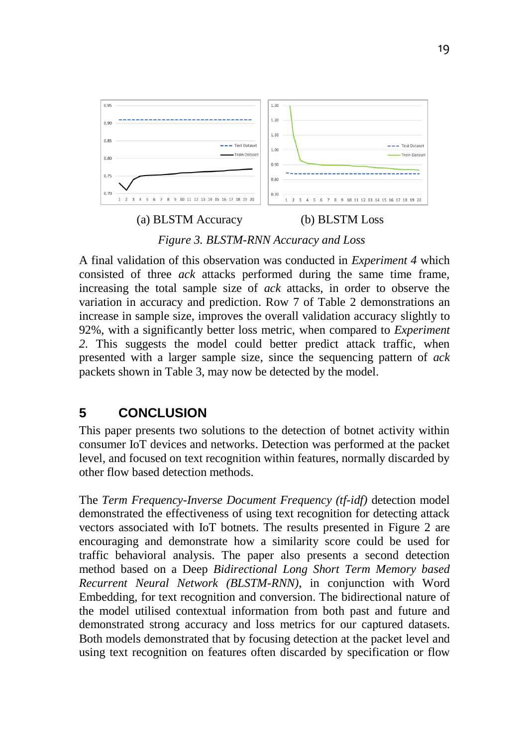

*Figure 3. BLSTM-RNN Accuracy and Loss*

A final validation of this observation was conducted in *Experiment 4* which consisted of three *ack* attacks performed during the same time frame, increasing the total sample size of *ack* attacks, in order to observe the variation in accuracy and prediction. Row 7 of Table 2 demonstrations an increase in sample size, improves the overall validation accuracy slightly to 92%, with a significantly better loss metric, when compared to *Experiment 2*. This suggests the model could better predict attack traffic, when presented with a larger sample size, since the sequencing pattern of *ack* packets shown in Table 3, may now be detected by the model.

#### **5 CONCLUSION**

This paper presents two solutions to the detection of botnet activity within consumer IoT devices and networks. Detection was performed at the packet level, and focused on text recognition within features, normally discarded by other flow based detection methods.

The *Term Frequency-Inverse Document Frequency (tf-idf)* detection model demonstrated the effectiveness of using text recognition for detecting attack vectors associated with IoT botnets. The results presented in Figure 2 are encouraging and demonstrate how a similarity score could be used for traffic behavioral analysis. The paper also presents a second detection method based on a Deep *Bidirectional Long Short Term Memory based Recurrent Neural Network (BLSTM-RNN)*, in conjunction with Word Embedding, for text recognition and conversion. The bidirectional nature of the model utilised contextual information from both past and future and demonstrated strong accuracy and loss metrics for our captured datasets. Both models demonstrated that by focusing detection at the packet level and using text recognition on features often discarded by specification or flow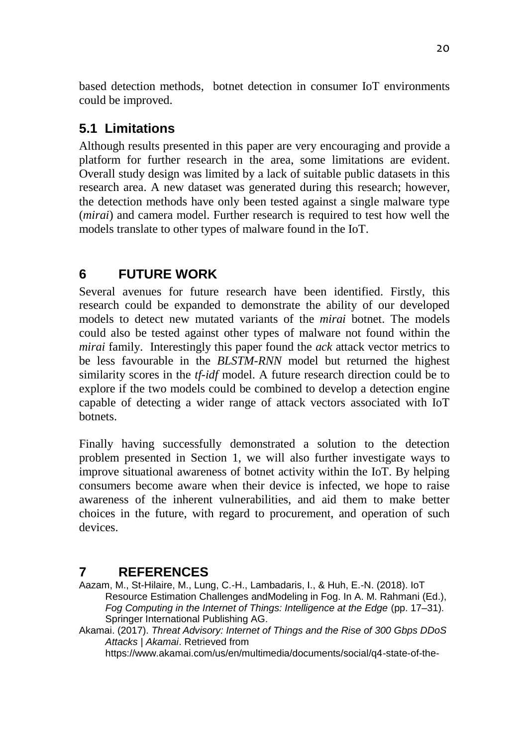based detection methods, botnet detection in consumer IoT environments could be improved.

# **5.1 Limitations**

Although results presented in this paper are very encouraging and provide a platform for further research in the area, some limitations are evident. Overall study design was limited by a lack of suitable public datasets in this research area. A new dataset was generated during this research; however, the detection methods have only been tested against a single malware type (*mirai*) and camera model. Further research is required to test how well the models translate to other types of malware found in the IoT.

# **6 FUTURE WORK**

Several avenues for future research have been identified. Firstly, this research could be expanded to demonstrate the ability of our developed models to detect new mutated variants of the *mirai* botnet. The models could also be tested against other types of malware not found within the *mirai* family. Interestingly this paper found the *ack* attack vector metrics to be less favourable in the *BLSTM-RNN* model but returned the highest similarity scores in the *tf-idf* model. A future research direction could be to explore if the two models could be combined to develop a detection engine capable of detecting a wider range of attack vectors associated with IoT botnets.

Finally having successfully demonstrated a solution to the detection problem presented in Section 1, we will also further investigate ways to improve situational awareness of botnet activity within the IoT. By helping consumers become aware when their device is infected, we hope to raise awareness of the inherent vulnerabilities, and aid them to make better choices in the future, with regard to procurement, and operation of such devices.

## **7 REFERENCES**

Aazam, M., St-Hilaire, M., Lung, C.-H., Lambadaris, I., & Huh, E.-N. (2018). IoT Resource Estimation Challenges andModeling in Fog. In A. M. Rahmani (Ed.), *Fog Computing in the Internet of Things: Intelligence at the Edge* (pp. 17–31). Springer International Publishing AG.

Akamai. (2017). *Threat Advisory: Internet of Things and the Rise of 300 Gbps DDoS Attacks | Akamai*. Retrieved from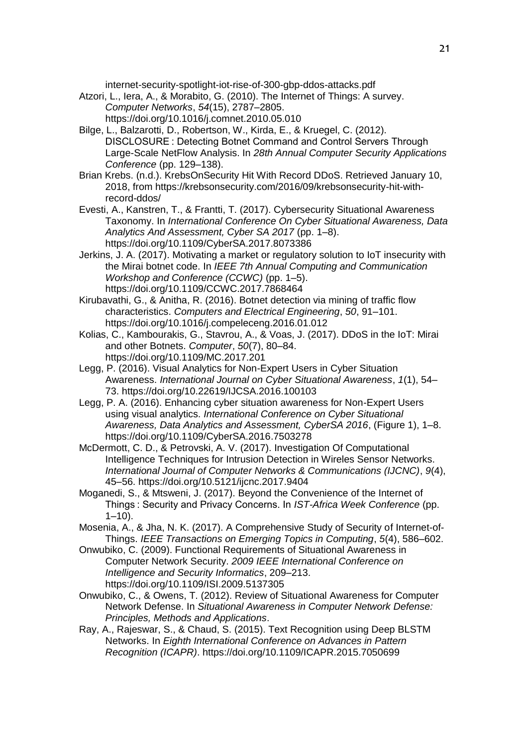internet-security-spotlight-iot-rise-of-300-gbp-ddos-attacks.pdf

- Atzori, L., Iera, A., & Morabito, G. (2010). The Internet of Things: A survey. *Computer Networks*, *54*(15), 2787–2805. https://doi.org/10.1016/j.comnet.2010.05.010
- Bilge, L., Balzarotti, D., Robertson, W., Kirda, E., & Kruegel, C. (2012). DISCLOSURE : Detecting Botnet Command and Control Servers Through Large-Scale NetFlow Analysis. In *28th Annual Computer Security Applications Conference* (pp. 129–138).
- Brian Krebs. (n.d.). KrebsOnSecurity Hit With Record DDoS. Retrieved January 10, 2018, from https://krebsonsecurity.com/2016/09/krebsonsecurity-hit-withrecord-ddos/
- Evesti, A., Kanstren, T., & Frantti, T. (2017). Cybersecurity Situational Awareness Taxonomy. In *International Conference On Cyber Situational Awareness, Data Analytics And Assessment, Cyber SA 2017* (pp. 1–8). https://doi.org/10.1109/CyberSA.2017.8073386
- Jerkins, J. A. (2017). Motivating a market or regulatory solution to IoT insecurity with the Mirai botnet code. In *IEEE 7th Annual Computing and Communication Workshop and Conference (CCWC)* (pp. 1–5). https://doi.org/10.1109/CCWC.2017.7868464
- Kirubavathi, G., & Anitha, R. (2016). Botnet detection via mining of traffic flow characteristics. *Computers and Electrical Engineering*, *50*, 91–101. https://doi.org/10.1016/j.compeleceng.2016.01.012
- Kolias, C., Kambourakis, G., Stavrou, A., & Voas, J. (2017). DDoS in the IoT: Mirai and other Botnets. *Computer*, *50*(7), 80–84. https://doi.org/10.1109/MC.2017.201
- Legg, P. (2016). Visual Analytics for Non-Expert Users in Cyber Situation Awareness. *International Journal on Cyber Situational Awareness*, *1*(1), 54– 73. https://doi.org/10.22619/IJCSA.2016.100103
- Legg, P. A. (2016). Enhancing cyber situation awareness for Non-Expert Users using visual analytics. *International Conference on Cyber Situational Awareness, Data Analytics and Assessment, CyberSA 2016*, (Figure 1), 1–8. https://doi.org/10.1109/CyberSA.2016.7503278
- McDermott, C. D., & Petrovski, A. V. (2017). Investigation Of Computational Intelligence Techniques for Intrusion Detection in Wireles Sensor Networks. *International Journal of Computer Networks & Communications (IJCNC)*, *9*(4), 45–56. https://doi.org/10.5121/ijcnc.2017.9404
- Moganedi, S., & Mtsweni, J. (2017). Beyond the Convenience of the Internet of Things : Security and Privacy Concerns. In *IST-Africa Week Conference* (pp.  $1 - 10$ ).
- Mosenia, A., & Jha, N. K. (2017). A Comprehensive Study of Security of Internet-of-Things. *IEEE Transactions on Emerging Topics in Computing*, *5*(4), 586–602.
- Onwubiko, C. (2009). Functional Requirements of Situational Awareness in Computer Network Security. *2009 IEEE International Conference on Intelligence and Security Informatics*, 209–213. https://doi.org/10.1109/ISI.2009.5137305
- Onwubiko, C., & Owens, T. (2012). Review of Situational Awareness for Computer Network Defense. In *Situational Awareness in Computer Network Defense: Principles, Methods and Applications*.
- Ray, A., Rajeswar, S., & Chaud, S. (2015). Text Recognition using Deep BLSTM Networks. In *Eighth International Conference on Advances in Pattern Recognition (ICAPR)*. https://doi.org/10.1109/ICAPR.2015.7050699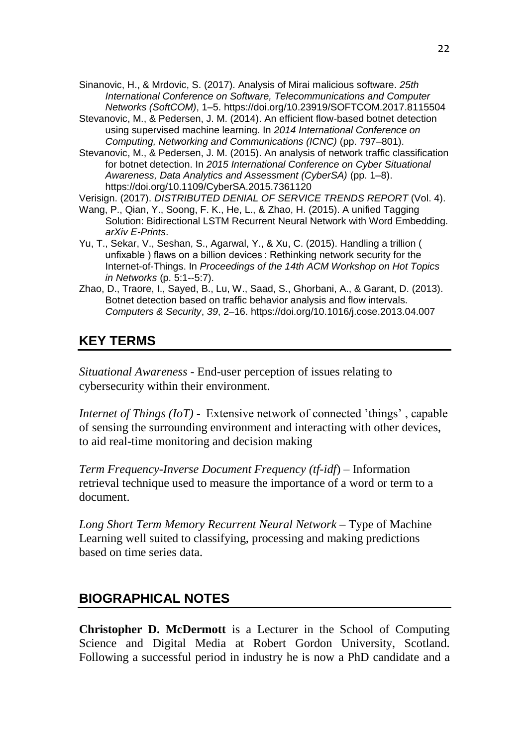Sinanovic, H., & Mrdovic, S. (2017). Analysis of Mirai malicious software. *25th International Conference on Software, Telecommunications and Computer Networks (SoftCOM)*, 1–5. https://doi.org/10.23919/SOFTCOM.2017.8115504

- Stevanovic, M., & Pedersen, J. M. (2014). An efficient flow-based botnet detection using supervised machine learning. In *2014 International Conference on Computing, Networking and Communications (ICNC)* (pp. 797–801).
- Stevanovic, M., & Pedersen, J. M. (2015). An analysis of network traffic classification for botnet detection. In *2015 International Conference on Cyber Situational Awareness, Data Analytics and Assessment (CyberSA)* (pp. 1–8). https://doi.org/10.1109/CyberSA.2015.7361120

Verisign. (2017). *DISTRIBUTED DENIAL OF SERVICE TRENDS REPORT* (Vol. 4).

- Wang, P., Qian, Y., Soong, F. K., He, L., & Zhao, H. (2015). A unified Tagging Solution: Bidirectional LSTM Recurrent Neural Network with Word Embedding. *arXiv E-Prints*.
- Yu, T., Sekar, V., Seshan, S., Agarwal, Y., & Xu, C. (2015). Handling a trillion ( unfixable ) flaws on a billion devices : Rethinking network security for the Internet-of-Things. In *Proceedings of the 14th ACM Workshop on Hot Topics in Networks* (p. 5:1--5:7).
- Zhao, D., Traore, I., Sayed, B., Lu, W., Saad, S., Ghorbani, A., & Garant, D. (2013). Botnet detection based on traffic behavior analysis and flow intervals. *Computers & Security*, *39*, 2–16. https://doi.org/10.1016/j.cose.2013.04.007

#### **KEY TERMS**

*Situational Awareness* - End-user perception of issues relating to cybersecurity within their environment.

*Internet of Things (IoT)* - Extensive network of connected 'things' , capable of sensing the surrounding environment and interacting with other devices, to aid real-time monitoring and decision making

*Term Frequency-Inverse Document Frequency (tf-idf*) – Information retrieval technique used to measure the importance of a word or term to a document.

*Long Short Term Memory Recurrent Neural Network* – Type of Machine Learning well suited to classifying, processing and making predictions based on time series data.

#### **BIOGRAPHICAL NOTES**

**Christopher D. McDermott** is a Lecturer in the School of Computing Science and Digital Media at Robert Gordon University, Scotland. Following a successful period in industry he is now a PhD candidate and a